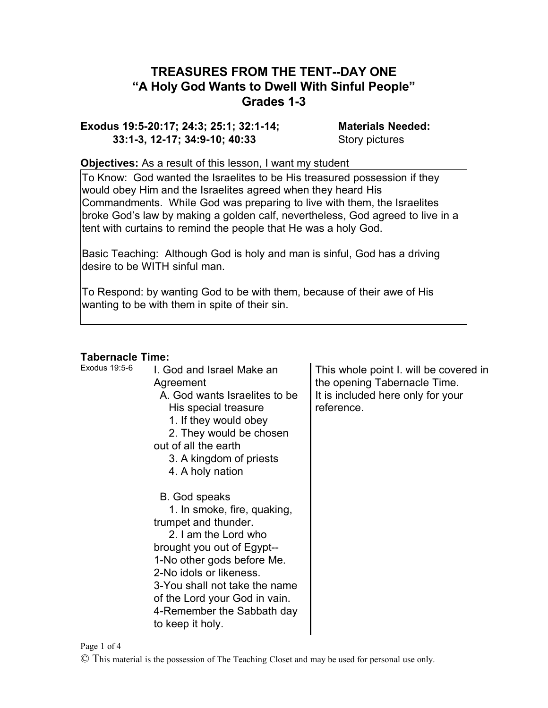# **TREASURES FROM THE TENT--DAY ONE "A Holy God Wants to Dwell With Sinful People" Grades 1-3**

**Exodus 19:5-20:17; 24:3; 25:1; 32:1-14; Materials Needed: 33:1-3, 12-17; 34:9-10; 40:33** Story pictures

#### **Objectives:** As a result of this lesson, I want my student

To Know: God wanted the Israelites to be His treasured possession if they would obey Him and the Israelites agreed when they heard His Commandments. While God was preparing to live with them, the Israelites broke God's law by making a golden calf, nevertheless, God agreed to live in a tent with curtains to remind the people that He was a holy God.

Basic Teaching: Although God is holy and man is sinful, God has a driving desire to be WITH sinful man.

To Respond: by wanting God to be with them, because of their awe of His wanting to be with them in spite of their sin.

## **Tabernacle Time:**

| TADEINACIE TINIE. |                                                                                                                                                                                                                                                                                                         |                                                                                                                           |
|-------------------|---------------------------------------------------------------------------------------------------------------------------------------------------------------------------------------------------------------------------------------------------------------------------------------------------------|---------------------------------------------------------------------------------------------------------------------------|
| Exodus 19:5-6     | I. God and Israel Make an<br>Agreement<br>A. God wants Israelites to be<br>His special treasure<br>1. If they would obey<br>2. They would be chosen<br>out of all the earth<br>3. A kingdom of priests<br>4. A holy nation                                                                              | This whole point I. will be covered in<br>the opening Tabernacle Time.<br>It is included here only for your<br>reference. |
|                   | B. God speaks<br>1. In smoke, fire, quaking,<br>trumpet and thunder.<br>2. I am the Lord who<br>brought you out of Egypt--<br>1-No other gods before Me.<br>2-No idols or likeness.<br>3-You shall not take the name<br>of the Lord your God in vain.<br>4-Remember the Sabbath day<br>to keep it holy. |                                                                                                                           |

Page 1 of 4

© This material is the possession of The Teaching Closet and may be used for personal use only.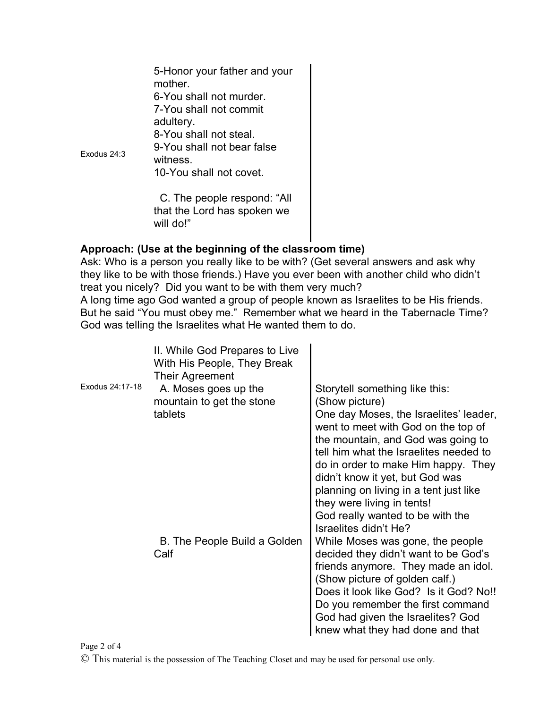| Exodus 24:3 | 5-Honor your father and your<br>mother.<br>6-You shall not murder.<br>7-You shall not commit<br>adultery.<br>8-You shall not steal.<br>9-You shall not bear false<br>witness.<br>10-You shall not covet. |
|-------------|----------------------------------------------------------------------------------------------------------------------------------------------------------------------------------------------------------|
|             | C. The people respond: "All<br>that the Lord has spoken we<br>will do!"                                                                                                                                  |

### **Approach: (Use at the beginning of the classroom time)**

Ask: Who is a person you really like to be with? (Get several answers and ask why they like to be with those friends.) Have you ever been with another child who didn't treat you nicely? Did you want to be with them very much? A long time ago God wanted a group of people known as Israelites to be His friends. But he said "You must obey me." Remember what we heard in the Tabernacle Time? God was telling the Israelites what He wanted them to do.

| Exodus 24:17-18 | II. While God Prepares to Live<br>With His People, They Break<br>Their Agreement<br>A. Moses goes up the<br>mountain to get the stone<br>tablets | Storytell something like this:<br>(Show picture)<br>One day Moses, the Israelites' leader,<br>went to meet with God on the top of<br>the mountain, and God was going to<br>tell him what the Israelites needed to<br>do in order to make Him happy. They<br>didn't know it yet, but God was<br>planning on living in a tent just like<br>they were living in tents!<br>God really wanted to be with the |
|-----------------|--------------------------------------------------------------------------------------------------------------------------------------------------|---------------------------------------------------------------------------------------------------------------------------------------------------------------------------------------------------------------------------------------------------------------------------------------------------------------------------------------------------------------------------------------------------------|
|                 | B. The People Build a Golden<br>Calf                                                                                                             | Israelites didn't He?<br>While Moses was gone, the people<br>decided they didn't want to be God's<br>friends anymore. They made an idol.<br>(Show picture of golden calf.)<br>Does it look like God? Is it God? No!!<br>Do you remember the first command<br>God had given the Israelites? God<br>knew what they had done and that                                                                      |

#### Page 2 of 4

© This material is the possession of The Teaching Closet and may be used for personal use only.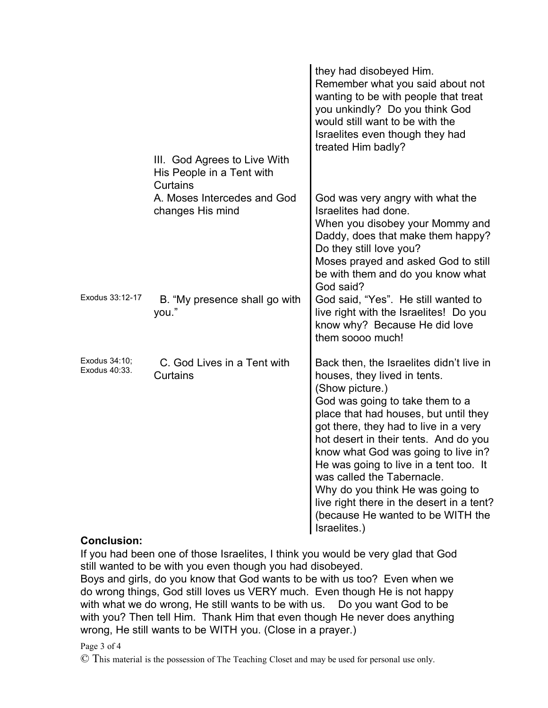|                                | III. God Agrees to Live With<br>His People in a Tent with   | they had disobeyed Him.<br>Remember what you said about not<br>wanting to be with people that treat<br>you unkindly? Do you think God<br>would still want to be with the<br>Israelites even though they had<br>treated Him badly?                                                                                                                                                                                                                                                                              |
|--------------------------------|-------------------------------------------------------------|----------------------------------------------------------------------------------------------------------------------------------------------------------------------------------------------------------------------------------------------------------------------------------------------------------------------------------------------------------------------------------------------------------------------------------------------------------------------------------------------------------------|
|                                | Curtains<br>A. Moses Intercedes and God<br>changes His mind | God was very angry with what the<br>Israelites had done.<br>When you disobey your Mommy and<br>Daddy, does that make them happy?<br>Do they still love you?<br>Moses prayed and asked God to still<br>be with them and do you know what                                                                                                                                                                                                                                                                        |
| Exodus 33:12-17                | B. "My presence shall go with<br>you."                      | God said?<br>God said, "Yes". He still wanted to<br>live right with the Israelites! Do you<br>know why? Because He did love<br>them soooo much!                                                                                                                                                                                                                                                                                                                                                                |
| Exodus 34:10;<br>Exodus 40:33. | C. God Lives in a Tent with<br>Curtains                     | Back then, the Israelites didn't live in<br>houses, they lived in tents.<br>(Show picture.)<br>God was going to take them to a<br>place that had houses, but until they<br>got there, they had to live in a very<br>hot desert in their tents. And do you<br>know what God was going to live in?<br>He was going to live in a tent too. It<br>was called the Tabernacle.<br>Why do you think He was going to<br>live right there in the desert in a tent?<br>(because He wanted to be WITH the<br>Israelites.) |

### **Conclusion:**

If you had been one of those Israelites, I think you would be very glad that God still wanted to be with you even though you had disobeyed.

Boys and girls, do you know that God wants to be with us too? Even when we do wrong things, God still loves us VERY much. Even though He is not happy with what we do wrong, He still wants to be with us. Do you want God to be with you? Then tell Him. Thank Him that even though He never does anything wrong, He still wants to be WITH you. (Close in a prayer.)

### Page 3 of 4

© This material is the possession of The Teaching Closet and may be used for personal use only.